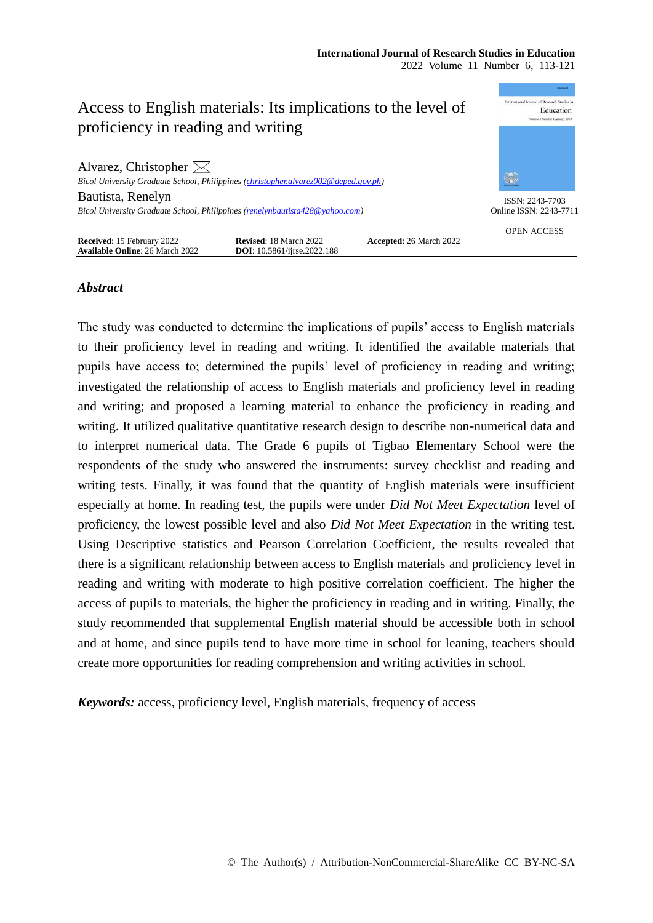

# *Abstract*

The study was conducted to determine the implications of pupils' access to English materials to their proficiency level in reading and writing. It identified the available materials that pupils have access to; determined the pupils' level of proficiency in reading and writing; investigated the relationship of access to English materials and proficiency level in reading and writing; and proposed a learning material to enhance the proficiency in reading and writing. It utilized qualitative quantitative research design to describe non-numerical data and to interpret numerical data. The Grade 6 pupils of Tigbao Elementary School were the respondents of the study who answered the instruments: survey checklist and reading and writing tests. Finally, it was found that the quantity of English materials were insufficient especially at home. In reading test, the pupils were under *Did Not Meet Expectation* level of proficiency, the lowest possible level and also *Did Not Meet Expectation* in the writing test. Using Descriptive statistics and Pearson Correlation Coefficient, the results revealed that there is a significant relationship between access to English materials and proficiency level in reading and writing with moderate to high positive correlation coefficient. The higher the access of pupils to materials, the higher the proficiency in reading and in writing. Finally, the study recommended that supplemental English material should be accessible both in school and at home, and since pupils tend to have more time in school for leaning, teachers should create more opportunities for reading comprehension and writing activities in school.

*Keywords:* access, proficiency level, English materials, frequency of access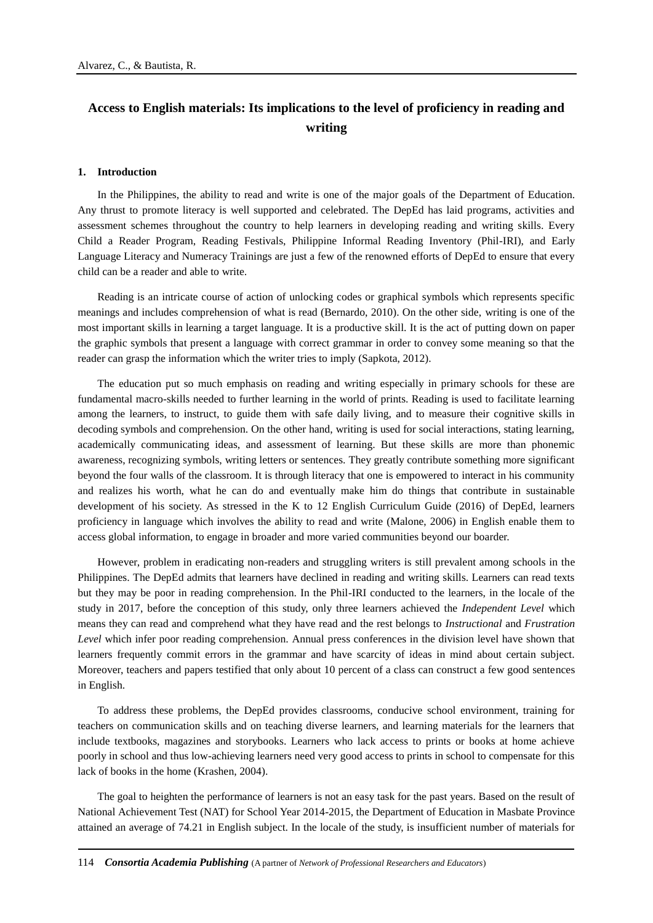# **Access to English materials: Its implications to the level of proficiency in reading and writing**

#### **1. Introduction**

In the Philippines, the ability to read and write is one of the major goals of the Department of Education. Any thrust to promote literacy is well supported and celebrated. The DepEd has laid programs, activities and assessment schemes throughout the country to help learners in developing reading and writing skills. Every Child a Reader Program, Reading Festivals, Philippine Informal Reading Inventory (Phil-IRI), and Early Language Literacy and Numeracy Trainings are just a few of the renowned efforts of DepEd to ensure that every child can be a reader and able to write.

Reading is an intricate course of action of unlocking codes or graphical symbols which represents specific meanings and includes comprehension of what is read (Bernardo, 2010). On the other side, writing is one of the most important skills in learning a target language. It is a productive skill. It is the act of putting down on paper the graphic symbols that present a language with correct grammar in order to convey some meaning so that the reader can grasp the information which the writer tries to imply (Sapkota, 2012).

The education put so much emphasis on reading and writing especially in primary schools for these are fundamental macro-skills needed to further learning in the world of prints. Reading is used to facilitate learning among the learners, to instruct, to guide them with safe daily living, and to measure their cognitive skills in decoding symbols and comprehension. On the other hand, writing is used for social interactions, stating learning, academically communicating ideas, and assessment of learning. But these skills are more than phonemic awareness, recognizing symbols, writing letters or sentences. They greatly contribute something more significant beyond the four walls of the classroom. It is through literacy that one is empowered to interact in his community and realizes his worth, what he can do and eventually make him do things that contribute in sustainable development of his society. As stressed in the K to 12 English Curriculum Guide (2016) of DepEd, learners proficiency in language which involves the ability to read and write (Malone, 2006) in English enable them to access global information, to engage in broader and more varied communities beyond our boarder.

However, problem in eradicating non-readers and struggling writers is still prevalent among schools in the Philippines. The DepEd admits that learners have declined in reading and writing skills. Learners can read texts but they may be poor in reading comprehension. In the Phil-IRI conducted to the learners, in the locale of the study in 2017, before the conception of this study, only three learners achieved the *Independent Level* which means they can read and comprehend what they have read and the rest belongs to *Instructional* and *Frustration Level* which infer poor reading comprehension. Annual press conferences in the division level have shown that learners frequently commit errors in the grammar and have scarcity of ideas in mind about certain subject. Moreover, teachers and papers testified that only about 10 percent of a class can construct a few good sentences in English.

To address these problems, the DepEd provides classrooms, conducive school environment, training for teachers on communication skills and on teaching diverse learners, and learning materials for the learners that include textbooks, magazines and storybooks. Learners who lack access to prints or books at home achieve poorly in school and thus low-achieving learners need very good access to prints in school to compensate for this lack of books in the home (Krashen, 2004).

The goal to heighten the performance of learners is not an easy task for the past years. Based on the result of National Achievement Test (NAT) for School Year 2014-2015, the Department of Education in Masbate Province attained an average of 74.21 in English subject. In the locale of the study, is insufficient number of materials for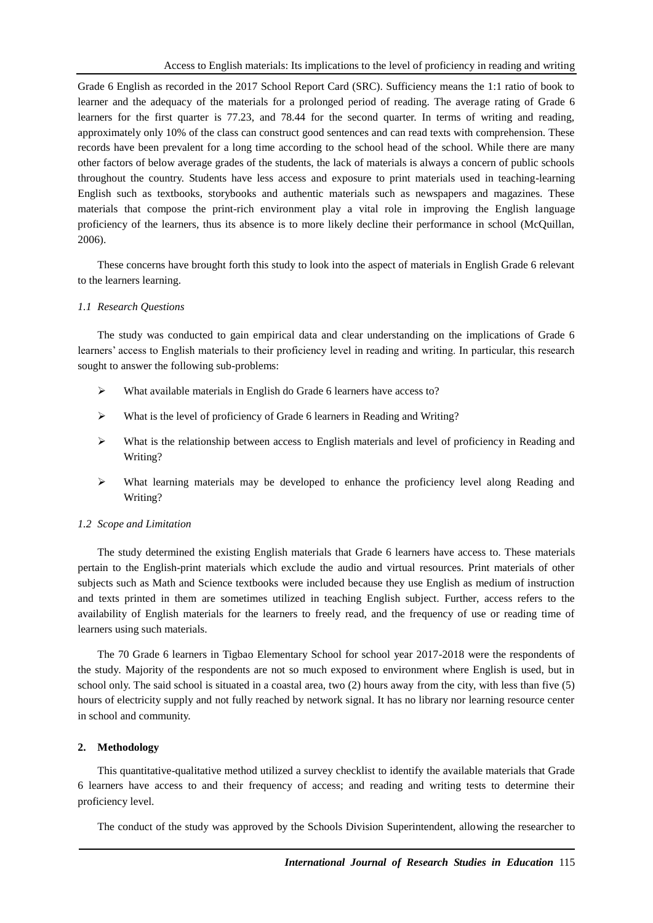Grade 6 English as recorded in the 2017 School Report Card (SRC). Sufficiency means the 1:1 ratio of book to learner and the adequacy of the materials for a prolonged period of reading. The average rating of Grade 6 learners for the first quarter is 77.23, and 78.44 for the second quarter. In terms of writing and reading, approximately only 10% of the class can construct good sentences and can read texts with comprehension. These records have been prevalent for a long time according to the school head of the school. While there are many other factors of below average grades of the students, the lack of materials is always a concern of public schools throughout the country. Students have less access and exposure to print materials used in teaching-learning English such as textbooks, storybooks and authentic materials such as newspapers and magazines. These materials that compose the print-rich environment play a vital role in improving the English language proficiency of the learners, thus its absence is to more likely decline their performance in school (McQuillan, 2006).

These concerns have brought forth this study to look into the aspect of materials in English Grade 6 relevant to the learners learning.

# *1.1 Research Questions*

The study was conducted to gain empirical data and clear understanding on the implications of Grade 6 learners' access to English materials to their proficiency level in reading and writing. In particular, this research sought to answer the following sub-problems:

- What available materials in English do Grade 6 learners have access to?
- What is the level of proficiency of Grade 6 learners in Reading and Writing?
- $\triangleright$  What is the relationship between access to English materials and level of proficiency in Reading and Writing?
- What learning materials may be developed to enhance the proficiency level along Reading and Writing?

# *1.2 Scope and Limitation*

The study determined the existing English materials that Grade 6 learners have access to. These materials pertain to the English-print materials which exclude the audio and virtual resources. Print materials of other subjects such as Math and Science textbooks were included because they use English as medium of instruction and texts printed in them are sometimes utilized in teaching English subject. Further, access refers to the availability of English materials for the learners to freely read, and the frequency of use or reading time of learners using such materials.

The 70 Grade 6 learners in Tigbao Elementary School for school year 2017-2018 were the respondents of the study*.* Majority of the respondents are not so much exposed to environment where English is used, but in school only. The said school is situated in a coastal area, two (2) hours away from the city, with less than five (5) hours of electricity supply and not fully reached by network signal. It has no library nor learning resource center in school and community.

# **2. Methodology**

This quantitative-qualitative method utilized a survey checklist to identify the available materials that Grade 6 learners have access to and their frequency of access; and reading and writing tests to determine their proficiency level.

The conduct of the study was approved by the Schools Division Superintendent, allowing the researcher to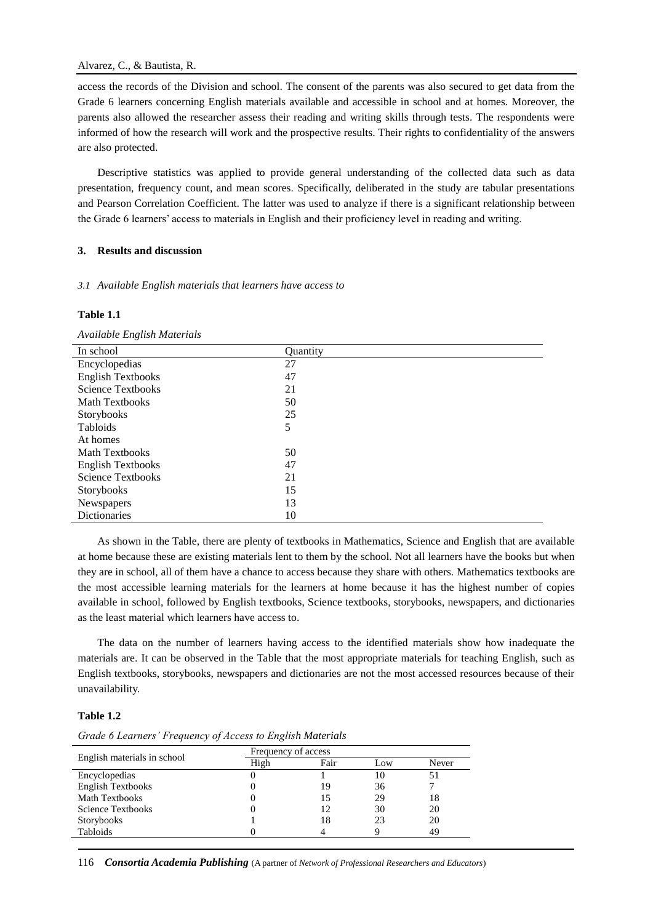# Alvarez, C., & Bautista, R.

access the records of the Division and school. The consent of the parents was also secured to get data from the Grade 6 learners concerning English materials available and accessible in school and at homes. Moreover, the parents also allowed the researcher assess their reading and writing skills through tests. The respondents were informed of how the research will work and the prospective results. Their rights to confidentiality of the answers are also protected.

Descriptive statistics was applied to provide general understanding of the collected data such as data presentation, frequency count, and mean scores. Specifically, deliberated in the study are tabular presentations and Pearson Correlation Coefficient. The latter was used to analyze if there is a significant relationship between the Grade 6 learners' access to materials in English and their proficiency level in reading and writing.

# **3. Results and discussion**

# *3.1 Available English materials that learners have access to*

# **Table 1.1**

*Available English Materials*

| In school                | <b>Ouantity</b> |
|--------------------------|-----------------|
| Encyclopedias            | 27              |
| <b>English Textbooks</b> | 47              |
| <b>Science Textbooks</b> | 21              |
| <b>Math Textbooks</b>    | 50              |
| Storybooks               | 25              |
| Tabloids                 | 5               |
| At homes                 |                 |
| <b>Math Textbooks</b>    | 50              |
| <b>English Textbooks</b> | 47              |
| <b>Science Textbooks</b> | 21              |
| Storybooks               | 15              |
| Newspapers               | 13              |
| <b>Dictionaries</b>      | 10              |

As shown in the Table, there are plenty of textbooks in Mathematics, Science and English that are available at home because these are existing materials lent to them by the school. Not all learners have the books but when they are in school, all of them have a chance to access because they share with others. Mathematics textbooks are the most accessible learning materials for the learners at home because it has the highest number of copies available in school, followed by English textbooks, Science textbooks, storybooks, newspapers, and dictionaries as the least material which learners have access to.

The data on the number of learners having access to the identified materials show how inadequate the materials are. It can be observed in the Table that the most appropriate materials for teaching English, such as English textbooks, storybooks, newspapers and dictionaries are not the most accessed resources because of their unavailability.

# **Table 1.2**

*Grade 6 Learners' Frequency of Access to English Materials*

|                             | Frequency of access |      |     |       |
|-----------------------------|---------------------|------|-----|-------|
| English materials in school | High                | Fair | Low | Never |
| Encyclopedias               |                     |      |     |       |
| <b>English Textbooks</b>    |                     | 19   | 36  |       |
| <b>Math Textbooks</b>       |                     |      | 29  | 18    |
| <b>Science Textbooks</b>    |                     |      | 30  | 20    |
| <b>Storybooks</b>           |                     | 18   | 23  | 20    |
| Tabloids                    |                     |      |     | 49    |

116 *Consortia Academia Publishing* (A partner of *Network of Professional Researchers and Educators*)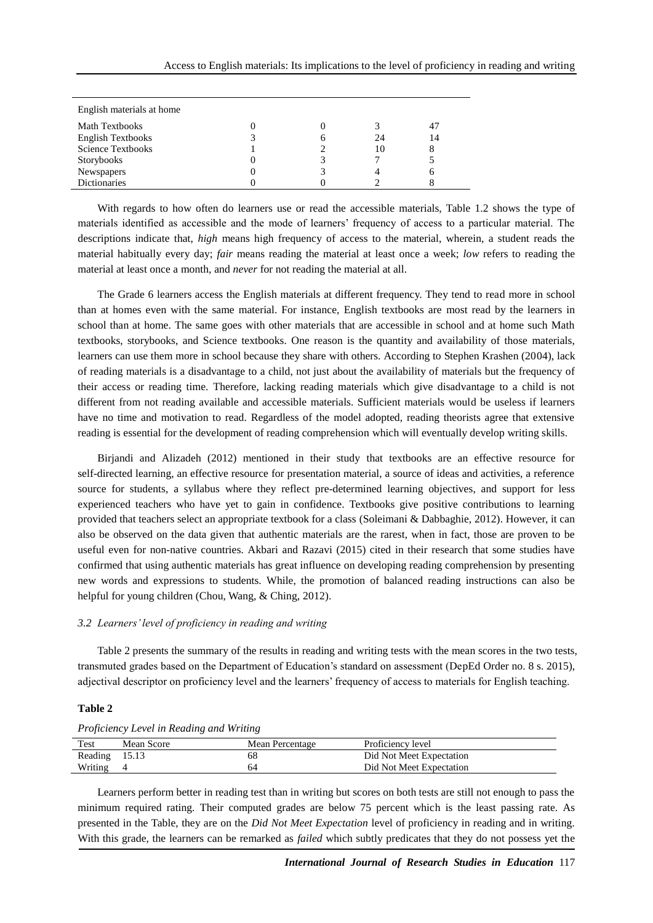| English materials at home |  |  |    |    |  |
|---------------------------|--|--|----|----|--|
| <b>Math Textbooks</b>     |  |  |    | 47 |  |
| <b>English Textbooks</b>  |  |  | 24 | 14 |  |
| <b>Science Textbooks</b>  |  |  | 10 |    |  |
| Storybooks                |  |  |    |    |  |
| Newspapers                |  |  |    |    |  |
| <b>Dictionaries</b>       |  |  |    |    |  |

With regards to how often do learners use or read the accessible materials, Table 1.2 shows the type of materials identified as accessible and the mode of learners' frequency of access to a particular material. The descriptions indicate that, *high* means high frequency of access to the material, wherein, a student reads the material habitually every day; *fair* means reading the material at least once a week; *low* refers to reading the material at least once a month, and *never* for not reading the material at all.

The Grade 6 learners access the English materials at different frequency. They tend to read more in school than at homes even with the same material. For instance, English textbooks are most read by the learners in school than at home. The same goes with other materials that are accessible in school and at home such Math textbooks, storybooks, and Science textbooks. One reason is the quantity and availability of those materials, learners can use them more in school because they share with others. According to Stephen Krashen (2004), lack of reading materials is a disadvantage to a child, not just about the availability of materials but the frequency of their access or reading time. Therefore, lacking reading materials which give disadvantage to a child is not different from not reading available and accessible materials. Sufficient materials would be useless if learners have no time and motivation to read. Regardless of the model adopted, reading theorists agree that extensive reading is essential for the development of reading comprehension which will eventually develop writing skills.

Birjandi and Alizadeh (2012) mentioned in their study that textbooks are an effective resource for self-directed learning, an effective resource for presentation material, a source of ideas and activities, a reference source for students, a syllabus where they reflect pre-determined learning objectives, and support for less experienced teachers who have yet to gain in confidence. Textbooks give positive contributions to learning provided that teachers select an appropriate textbook for a class (Soleimani & Dabbaghie, 2012). However, it can also be observed on the data given that authentic materials are the rarest, when in fact, those are proven to be useful even for non-native countries. Akbari and Razavi (2015) cited in their research that some studies have confirmed that using authentic materials has great influence on developing reading comprehension by presenting new words and expressions to students. While, the promotion of balanced reading instructions can also be helpful for young children (Chou, Wang, & Ching, 2012).

#### *3.2 Learners' level of proficiency in reading and writing*

Table 2 presents the summary of the results in reading and writing tests with the mean scores in the two tests, transmuted grades based on the Department of Education's standard on assessment (DepEd Order no. 8 s. 2015), adjectival descriptor on proficiency level and the learners' frequency of access to materials for English teaching.

#### **Table 2**

| Test          | Mean Score | Mean Percentage | Proficiency level        |  |
|---------------|------------|-----------------|--------------------------|--|
| Reading 15.13 |            | 68              | Did Not Meet Expectation |  |
| Writing       |            |                 | Did Not Meet Expectation |  |

*Proficiency Level in Reading and Writing*

Learners perform better in reading test than in writing but scores on both tests are still not enough to pass the minimum required rating. Their computed grades are below 75 percent which is the least passing rate. As presented in the Table, they are on the *Did Not Meet Expectation* level of proficiency in reading and in writing. With this grade, the learners can be remarked as *failed* which subtly predicates that they do not possess yet the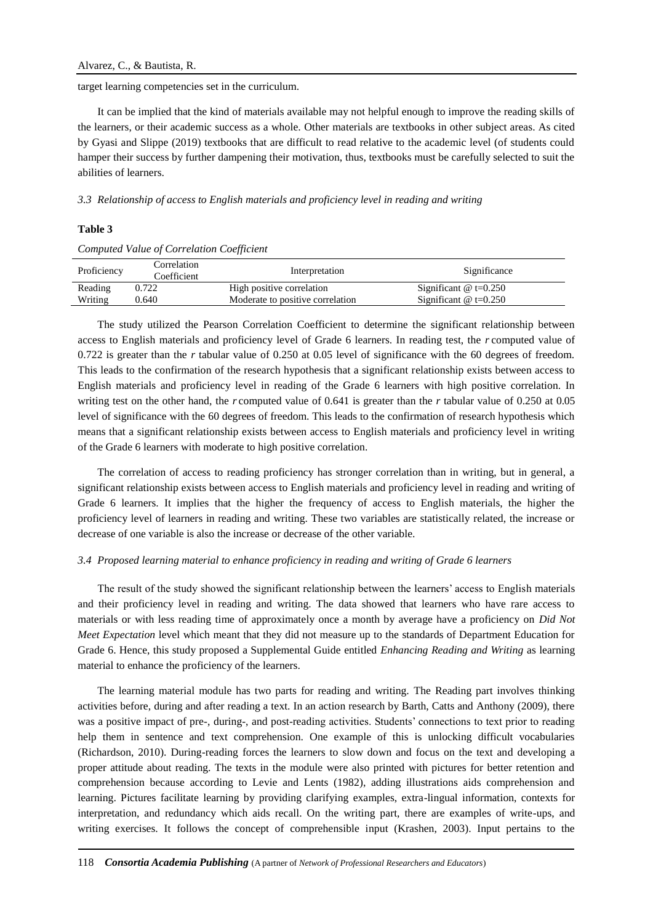target learning competencies set in the curriculum.

It can be implied that the kind of materials available may not helpful enough to improve the reading skills of the learners, or their academic success as a whole. Other materials are textbooks in other subject areas. As cited by Gyasi and Slippe (2019) textbooks that are difficult to read relative to the academic level (of students could hamper their success by further dampening their motivation, thus, textbooks must be carefully selected to suit the abilities of learners.

*3.3 Relationship of access to English materials and proficiency level in reading and writing* 

#### **Table 3**

#### *Computed Value of Correlation Coefficient*

| Proficiency | Correlation<br>Coefficient | Interpretation                   | Significance                 |
|-------------|----------------------------|----------------------------------|------------------------------|
| Reading     | 0.722                      | High positive correlation        | Significant $\omega$ t=0.250 |
| Writing     | 0.640                      | Moderate to positive correlation | Significant $\omega$ t=0.250 |

The study utilized the Pearson Correlation Coefficient to determine the significant relationship between access to English materials and proficiency level of Grade 6 learners. In reading test, the *r* computed value of 0.722 is greater than the *r* tabular value of 0.250 at 0.05 level of significance with the 60 degrees of freedom. This leads to the confirmation of the research hypothesis that a significant relationship exists between access to English materials and proficiency level in reading of the Grade 6 learners with high positive correlation. In writing test on the other hand, the *r* computed value of 0.641 is greater than the *r* tabular value of 0.250 at 0.05 level of significance with the 60 degrees of freedom. This leads to the confirmation of research hypothesis which means that a significant relationship exists between access to English materials and proficiency level in writing of the Grade 6 learners with moderate to high positive correlation.

The correlation of access to reading proficiency has stronger correlation than in writing, but in general, a significant relationship exists between access to English materials and proficiency level in reading and writing of Grade 6 learners. It implies that the higher the frequency of access to English materials, the higher the proficiency level of learners in reading and writing. These two variables are statistically related, the increase or decrease of one variable is also the increase or decrease of the other variable.

#### *3.4 Proposed learning material to enhance proficiency in reading and writing of Grade 6 learners*

The result of the study showed the significant relationship between the learners' access to English materials and their proficiency level in reading and writing. The data showed that learners who have rare access to materials or with less reading time of approximately once a month by average have a proficiency on *Did Not Meet Expectation* level which meant that they did not measure up to the standards of Department Education for Grade 6. Hence, this study proposed a Supplemental Guide entitled *Enhancing Reading and Writing* as learning material to enhance the proficiency of the learners.

The learning material module has two parts for reading and writing. The Reading part involves thinking activities before, during and after reading a text. In an action research by Barth, Catts and Anthony (2009), there was a positive impact of pre-, during-, and post-reading activities. Students' connections to text prior to reading help them in sentence and text comprehension. One example of this is unlocking difficult vocabularies (Richardson, 2010). During-reading forces the learners to slow down and focus on the text and developing a proper attitude about reading. The texts in the module were also printed with pictures for better retention and comprehension because according to Levie and Lents (1982), adding illustrations aids comprehension and learning. Pictures facilitate learning by providing clarifying examples, extra-lingual information, contexts for interpretation, and redundancy which aids recall. On the writing part, there are examples of write-ups, and writing exercises. It follows the concept of comprehensible input (Krashen, 2003). Input pertains to the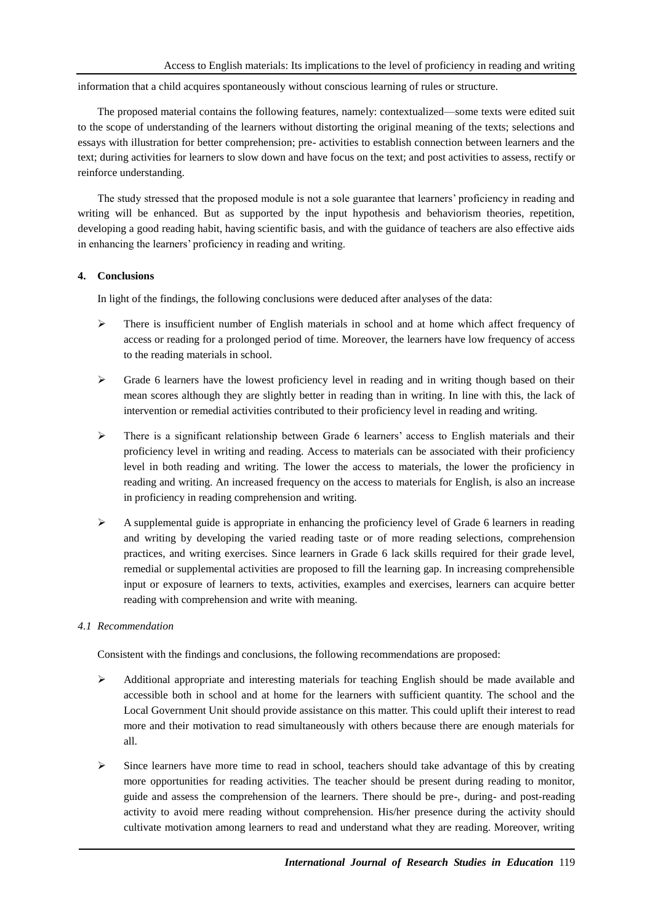information that a child acquires spontaneously without conscious learning of rules or structure.

The proposed material contains the following features, namely: contextualized—some texts were edited suit to the scope of understanding of the learners without distorting the original meaning of the texts; selections and essays with illustration for better comprehension; pre- activities to establish connection between learners and the text; during activities for learners to slow down and have focus on the text; and post activities to assess, rectify or reinforce understanding.

The study stressed that the proposed module is not a sole guarantee that learners' proficiency in reading and writing will be enhanced. But as supported by the input hypothesis and behaviorism theories, repetition, developing a good reading habit, having scientific basis, and with the guidance of teachers are also effective aids in enhancing the learners' proficiency in reading and writing.

# **4. Conclusions**

In light of the findings, the following conclusions were deduced after analyses of the data:

- $\triangleright$  There is insufficient number of English materials in school and at home which affect frequency of access or reading for a prolonged period of time. Moreover, the learners have low frequency of access to the reading materials in school.
- $\triangleright$  Grade 6 learners have the lowest proficiency level in reading and in writing though based on their mean scores although they are slightly better in reading than in writing. In line with this, the lack of intervention or remedial activities contributed to their proficiency level in reading and writing.
- $\triangleright$  There is a significant relationship between Grade 6 learners' access to English materials and their proficiency level in writing and reading. Access to materials can be associated with their proficiency level in both reading and writing. The lower the access to materials, the lower the proficiency in reading and writing. An increased frequency on the access to materials for English, is also an increase in proficiency in reading comprehension and writing.
- $\triangleright$  A supplemental guide is appropriate in enhancing the proficiency level of Grade 6 learners in reading and writing by developing the varied reading taste or of more reading selections, comprehension practices, and writing exercises. Since learners in Grade 6 lack skills required for their grade level, remedial or supplemental activities are proposed to fill the learning gap. In increasing comprehensible input or exposure of learners to texts, activities, examples and exercises, learners can acquire better reading with comprehension and write with meaning.

# *4.1 Recommendation*

Consistent with the findings and conclusions, the following recommendations are proposed:

- $\triangleright$  Additional appropriate and interesting materials for teaching English should be made available and accessible both in school and at home for the learners with sufficient quantity. The school and the Local Government Unit should provide assistance on this matter. This could uplift their interest to read more and their motivation to read simultaneously with others because there are enough materials for all.
- $\triangleright$  Since learners have more time to read in school, teachers should take advantage of this by creating more opportunities for reading activities. The teacher should be present during reading to monitor, guide and assess the comprehension of the learners. There should be pre-, during- and post-reading activity to avoid mere reading without comprehension. His/her presence during the activity should cultivate motivation among learners to read and understand what they are reading. Moreover, writing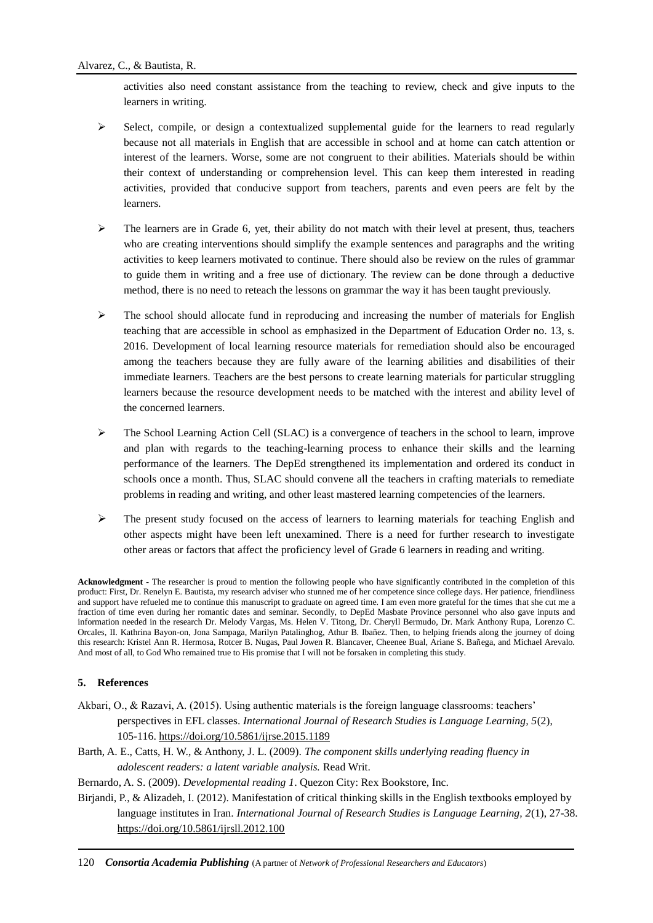activities also need constant assistance from the teaching to review, check and give inputs to the learners in writing.

- $\triangleright$  Select, compile, or design a contextualized supplemental guide for the learners to read regularly because not all materials in English that are accessible in school and at home can catch attention or interest of the learners. Worse, some are not congruent to their abilities. Materials should be within their context of understanding or comprehension level. This can keep them interested in reading activities, provided that conducive support from teachers, parents and even peers are felt by the learners.
- $\triangleright$  The learners are in Grade 6, yet, their ability do not match with their level at present, thus, teachers who are creating interventions should simplify the example sentences and paragraphs and the writing activities to keep learners motivated to continue. There should also be review on the rules of grammar to guide them in writing and a free use of dictionary. The review can be done through a deductive method, there is no need to reteach the lessons on grammar the way it has been taught previously.
- $\triangleright$  The school should allocate fund in reproducing and increasing the number of materials for English teaching that are accessible in school as emphasized in the Department of Education Order no. 13, s. 2016. Development of local learning resource materials for remediation should also be encouraged among the teachers because they are fully aware of the learning abilities and disabilities of their immediate learners. Teachers are the best persons to create learning materials for particular struggling learners because the resource development needs to be matched with the interest and ability level of the concerned learners.
- $\triangleright$  The School Learning Action Cell (SLAC) is a convergence of teachers in the school to learn, improve and plan with regards to the teaching-learning process to enhance their skills and the learning performance of the learners. The DepEd strengthened its implementation and ordered its conduct in schools once a month. Thus, SLAC should convene all the teachers in crafting materials to remediate problems in reading and writing, and other least mastered learning competencies of the learners.
- $\triangleright$  The present study focused on the access of learners to learning materials for teaching English and other aspects might have been left unexamined. There is a need for further research to investigate other areas or factors that affect the proficiency level of Grade 6 learners in reading and writing.

**Acknowledgment -** The researcher is proud to mention the following people who have significantly contributed in the completion of this product: First, Dr. Renelyn E. Bautista, my research adviser who stunned me of her competence since college days. Her patience, friendliness and support have refueled me to continue this manuscript to graduate on agreed time. I am even more grateful for the times that she cut me a fraction of time even during her romantic dates and seminar. Secondly, to DepEd Masbate Province personnel who also gave inputs and information needed in the research Dr. Melody Vargas, Ms. Helen V. Titong, Dr. Cheryll Bermudo, Dr. Mark Anthony Rupa, Lorenzo C. Orcales, II. Kathrina Bayon-on, Jona Sampaga, Marilyn Patalinghog, Athur B. Ibañez. Then, to helping friends along the journey of doing this research: Kristel Ann R. Hermosa, Rotcer B. Nugas, Paul Jowen R. Blancaver, Cheenee Bual, Ariane S. Bañega, and Michael Arevalo. And most of all, to God Who remained true to His promise that I will not be forsaken in completing this study.

# **5. References**

- Akbari, O., & Razavi, A. (2015). Using authentic materials is the foreign language classrooms: teachers' perspectives in EFL classes. *International Journal of Research Studies is Language Learning, 5*(2), 105-116.<https://doi.org/10.5861/ijrse.2015.1189>
- Barth, A. E., Catts, H. W., & Anthony, J. L. (2009). *The component skills underlying reading fluency in adolescent readers: a latent variable analysis.* Read Writ.

Bernardo, A. S. (2009). *Developmental reading 1*. Quezon City: Rex Bookstore, Inc.

Birjandi, P., & Alizadeh, I. (2012). Manifestation of critical thinking skills in the English textbooks employed by language institutes in Iran. *International Journal of Research Studies is Language Learning, 2*(1), 27-38. <https://doi.org/10.5861/ijrsll.2012.100>